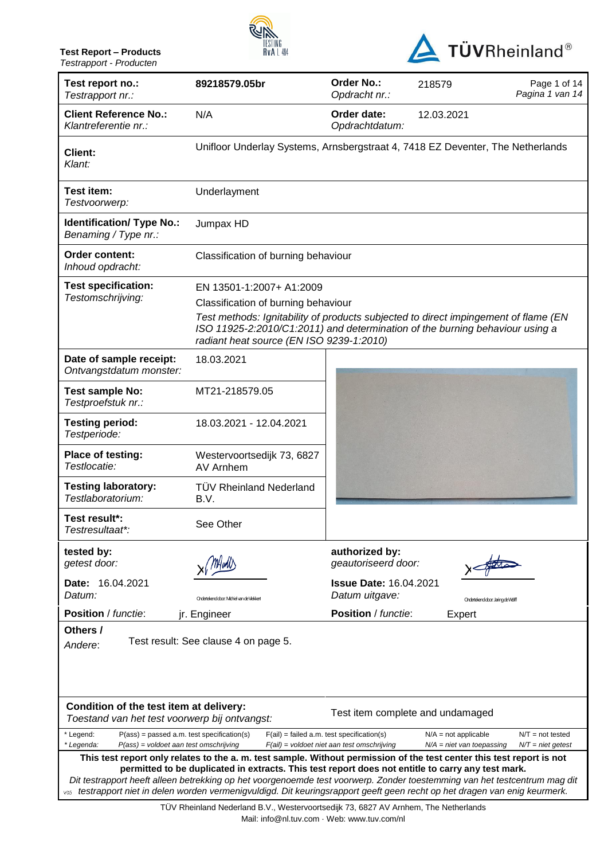**Test Report – Products** *Testrapport - Producten*





| Test report no.:<br>Testrapport nr.:                                                                                | 89218579.05br                                                                                                                                                                                                                                                                                                                                                 | Order No.:<br>Opdracht nr.:                                                                 | 218579                                                | Page 1 of 14<br>Pagina 1 van 14           |
|---------------------------------------------------------------------------------------------------------------------|---------------------------------------------------------------------------------------------------------------------------------------------------------------------------------------------------------------------------------------------------------------------------------------------------------------------------------------------------------------|---------------------------------------------------------------------------------------------|-------------------------------------------------------|-------------------------------------------|
| <b>Client Reference No.:</b><br>Klantreferentie nr.:                                                                | N/A                                                                                                                                                                                                                                                                                                                                                           | Order date:<br>Opdrachtdatum:                                                               | 12.03.2021                                            |                                           |
| <b>Client:</b><br>Klant:                                                                                            | Unifloor Underlay Systems, Arnsbergstraat 4, 7418 EZ Deventer, The Netherlands                                                                                                                                                                                                                                                                                |                                                                                             |                                                       |                                           |
| Test item:<br>Testvoorwerp:                                                                                         | Underlayment                                                                                                                                                                                                                                                                                                                                                  |                                                                                             |                                                       |                                           |
| <b>Identification/ Type No.:</b><br>Benaming / Type nr.:                                                            | Jumpax HD                                                                                                                                                                                                                                                                                                                                                     |                                                                                             |                                                       |                                           |
| Order content:<br>Inhoud opdracht:                                                                                  | Classification of burning behaviour                                                                                                                                                                                                                                                                                                                           |                                                                                             |                                                       |                                           |
| <b>Test specification:</b>                                                                                          | EN 13501-1:2007+ A1:2009                                                                                                                                                                                                                                                                                                                                      |                                                                                             |                                                       |                                           |
| Testomschrijving:                                                                                                   | Classification of burning behaviour                                                                                                                                                                                                                                                                                                                           |                                                                                             |                                                       |                                           |
|                                                                                                                     | Test methods: Ignitability of products subjected to direct impingement of flame (EN<br>ISO 11925-2:2010/C1:2011) and determination of the burning behaviour using a<br>radiant heat source (EN ISO 9239-1:2010)                                                                                                                                               |                                                                                             |                                                       |                                           |
| Date of sample receipt:<br>Ontvangstdatum monster:                                                                  | 18.03.2021                                                                                                                                                                                                                                                                                                                                                    |                                                                                             |                                                       |                                           |
| <b>Test sample No:</b><br>Testproefstuk nr.:                                                                        | MT21-218579.05                                                                                                                                                                                                                                                                                                                                                |                                                                                             |                                                       |                                           |
| <b>Testing period:</b><br>Testperiode:                                                                              | 18.03.2021 - 12.04.2021                                                                                                                                                                                                                                                                                                                                       |                                                                                             |                                                       |                                           |
| Place of testing:<br>Testlocatie:                                                                                   | Westervoortsedijk 73, 6827<br>AV Arnhem                                                                                                                                                                                                                                                                                                                       |                                                                                             |                                                       |                                           |
| <b>Testing laboratory:</b><br>Testlaboratorium:                                                                     | <b>TÜV Rheinland Nederland</b><br>B.V.                                                                                                                                                                                                                                                                                                                        |                                                                                             |                                                       |                                           |
| Test result*:<br>Testresultaat*:                                                                                    | See Other                                                                                                                                                                                                                                                                                                                                                     |                                                                                             |                                                       |                                           |
| tested by:<br>getest door:                                                                                          |                                                                                                                                                                                                                                                                                                                                                               | authorized by:<br>geautoriseerd door:                                                       |                                                       |                                           |
| Date: 16.04.2021<br>Datum:                                                                                          | Ondertekend door: Midniel van de Viekkert                                                                                                                                                                                                                                                                                                                     | <b>Issue Date: 16.04.2021</b><br>Datum uitgave:                                             | Ondertekend door: Jaring de Wolff                     |                                           |
| <b>Position</b> / functie:                                                                                          | jr. Engineer                                                                                                                                                                                                                                                                                                                                                  | <b>Position</b> / functie:                                                                  | Expert                                                |                                           |
| Others /<br>Andere:                                                                                                 | Test result: See clause 4 on page 5.                                                                                                                                                                                                                                                                                                                          |                                                                                             |                                                       |                                           |
|                                                                                                                     |                                                                                                                                                                                                                                                                                                                                                               |                                                                                             |                                                       |                                           |
| Condition of the test item at delivery:<br>Toestand van het test voorwerp bij ontvangst:                            |                                                                                                                                                                                                                                                                                                                                                               |                                                                                             | Test item complete and undamaged                      |                                           |
| $P(ass) = passed a.m. test specification(s)$<br>* Legend:<br>* Legenda:<br>$P(ass) =$ voldoet aan test omschrijving |                                                                                                                                                                                                                                                                                                                                                               | $F(ai)$ = failed a.m. test specification(s)<br>$F(ai)$ = voldoet niet aan test omschrijving | $N/A$ = not applicable<br>$N/A$ = niet van toepassing | $N/T = not tested$<br>$N/T =$ niet getest |
|                                                                                                                     | This test report only relates to the a. m. test sample. Without permission of the test center this test report is not                                                                                                                                                                                                                                         |                                                                                             |                                                       |                                           |
|                                                                                                                     | permitted to be duplicated in extracts. This test report does not entitle to carry any test mark.<br>Dit testrapport heeft alleen betrekking op het voorgenoemde test voorwerp. Zonder toestemming van het testcentrum mag dit<br>vos testrapport niet in delen worden vermenigvuldigd. Dit keuringsrapport geeft geen recht op het dragen van enig keurmerk. |                                                                                             |                                                       |                                           |

TÜV Rheinland Nederland B.V., Westervoortsedijk 73, 6827 AV Arnhem, The Netherlands Mail: info@nl.tuv.com · Web: www.tuv.com/nl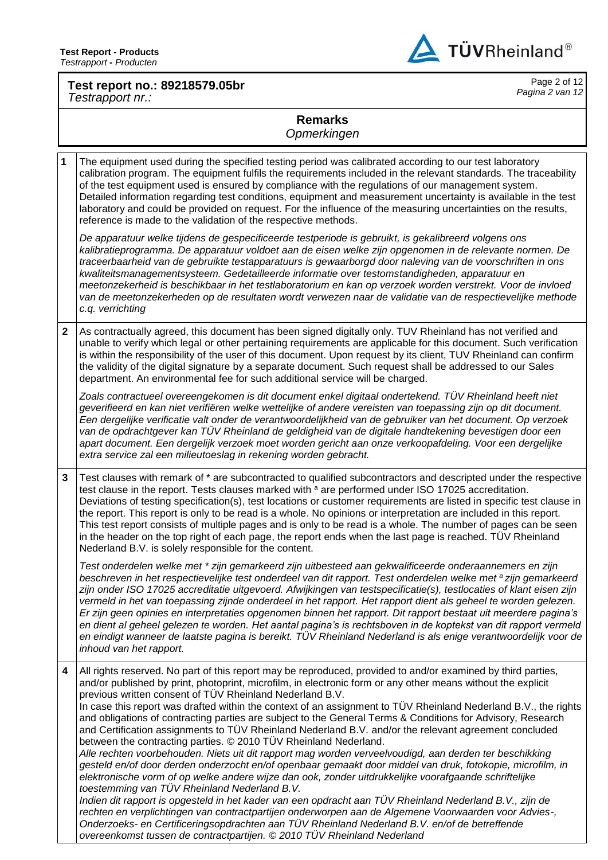

### **Test report no.: 89218579.05br** *Testrapport nr.:*

Page 2 of 12 *Pagina 2 van 12*

# **Remarks**

*Opmerkingen*

**1** The equipment used during the specified testing period was calibrated according to our test laboratory calibration program. The equipment fulfils the requirements included in the relevant standards. The traceability of the test equipment used is ensured by compliance with the regulations of our management system. Detailed information regarding test conditions, equipment and measurement uncertainty is available in the test laboratory and could be provided on request. For the influence of the measuring uncertainties on the results, reference is made to the validation of the respective methods. *De apparatuur welke tijdens de gespecificeerde testperiode is gebruikt, is gekalibreerd volgens ons kalibratieprogramma. De apparatuur voldoet aan de eisen welke zijn opgenomen in de relevante normen. De traceerbaarheid van de gebruikte testapparatuurs is gewaarborgd door naleving van de voorschriften in ons kwaliteitsmanagementsysteem. Gedetailleerde informatie over testomstandigheden, apparatuur en meetonzekerheid is beschikbaar in het testlaboratorium en kan op verzoek worden verstrekt. Voor de invloed van de meetonzekerheden op de resultaten wordt verwezen naar de validatie van de respectievelijke methode c.q. verrichting* **2** As contractually agreed, this document has been signed digitally only. TUV Rheinland has not verified and unable to verify which legal or other pertaining requirements are applicable for this document. Such verification is within the responsibility of the user of this document. Upon request by its client, TUV Rheinland can confirm the validity of the digital signature by a separate document. Such request shall be addressed to our Sales department. An environmental fee for such additional service will be charged. Zoals contractueel overeengekomen is dit document enkel digitaal ondertekend. TÜV Rheinland heeft niet *geverifieerd en kan niet verifiëren welke wettelijke of andere vereisten van toepassing zijn op dit document. Een dergelijke verificatie valt onder de verantwoordelijkheid van de gebruiker van het document. Op verzoek van de opdrachtgever kan TÜV Rheinland de geldigheid van de digitale handtekening bevestigen door een apart document. Een dergelijk verzoek moet worden gericht aan onze verkoopafdeling. Voor een dergelijke extra service zal een milieutoeslag in rekening worden gebracht.* **3** Test clauses with remark of \* are subcontracted to qualified subcontractors and descripted under the respective test clause in the report. Tests clauses marked with a are performed under ISO 17025 accreditation. Deviations of testing specification(s), test locations or customer requirements are listed in specific test clause in the report. This report is only to be read is a whole. No opinions or interpretation are included in this report. This test report consists of multiple pages and is only to be read is a whole. The number of pages can be seen in the header on the top right of each page, the report ends when the last page is reached. TÜV Rheinland Nederland B.V. is solely responsible for the content. *Test onderdelen welke met \* zijn gemarkeerd zijn uitbesteed aan gekwalificeerde onderaannemers en zijn beschreven in het respectievelijke test onderdeel van dit rapport. Test onderdelen welke met <sup>a</sup> zijn gemarkeerd zijn onder ISO 17025 accreditatie uitgevoerd. Afwijkingen van testspecificatie(s), testlocaties of klant eisen zijn vermeld in het van toepassing zijnde onderdeel in het rapport. Het rapport dient als geheel te worden gelezen. Er zijn geen opinies en interpretaties opgenomen binnen het rapport. Dit rapport bestaat uit meerdere pagina's en dient al geheel gelezen te worden. Het aantal pagina's is rechtsboven in de koptekst van dit rapport vermeld en eindigt wanneer de laatste pagina is bereikt. TÜV Rheinland Nederland is als enige verantwoordelijk voor de inhoud van het rapport.* **4** All rights reserved. No part of this report may be reproduced, provided to and/or examined by third parties, and/or published by print, photoprint, microfilm, in electronic form or any other means without the explicit previous written consent of TÜV Rheinland Nederland B.V. In case this report was drafted within the context of an assignment to TÜV Rheinland Nederland B.V., the rights and obligations of contracting parties are subject to the General Terms & Conditions for Advisory, Research and Certification assignments to TÜV Rheinland Nederland B.V. and/or the relevant agreement concluded between the contracting parties. © 2010 TÜV Rheinland Nederland. *Alle rechten voorbehouden. Niets uit dit rapport mag worden verveelvoudigd, aan derden ter beschikking gesteld en/of door derden onderzocht en/of openbaar gemaakt door middel van druk, fotokopie, microfilm, in elektronische vorm of op welke andere wijze dan ook, zonder uitdrukkelijke voorafgaande schriftelijke toestemming van TÜV Rheinland Nederland B.V. Indien dit rapport is opgesteld in het kader van een opdracht aan TÜV Rheinland Nederland B.V., zijn de rechten en verplichtingen van contractpartijen onderworpen aan de Algemene Voorwaarden voor Advies-, Onderzoeks- en Certificeringsopdrachten aan TÜV Rheinland Nederland B.V. en/of de betreffende overeenkomst tussen de contractpartijen. © 2010 TÜV Rheinland Nederland*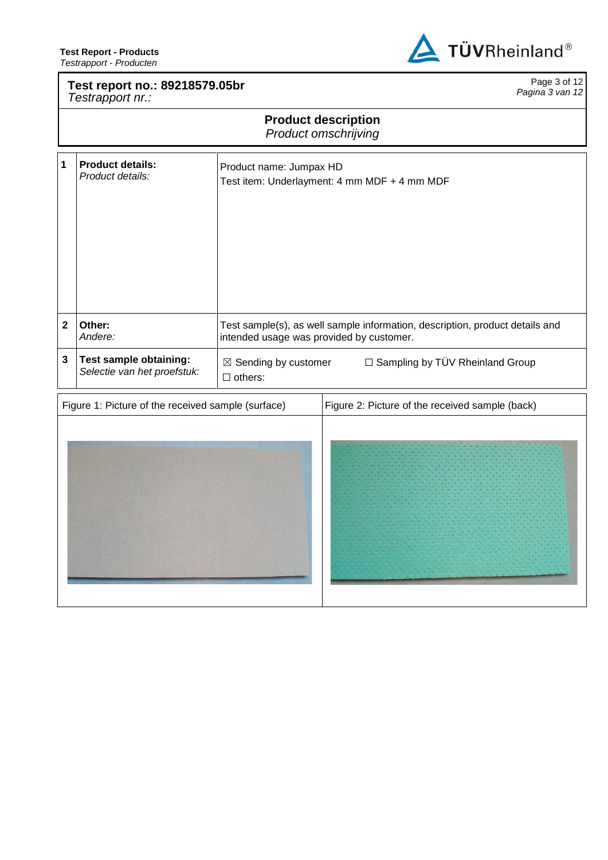

# **Test report no.: 89218579.05br** *Testrapport nr.:*

Page 3 of 12 *Pagina 3 van 12*

# **Product description** *Product omschrijving*

| 1                       | <b>Product details:</b><br>Product details:           | Product name: Jumpax HD<br>Test item: Underlayment: 4 mm MDF + 4 mm MDF                                                  |
|-------------------------|-------------------------------------------------------|--------------------------------------------------------------------------------------------------------------------------|
| $\overline{\mathbf{2}}$ | Other:<br>Andere:                                     | Test sample(s), as well sample information, description, product details and<br>intended usage was provided by customer. |
| $\overline{\mathbf{3}}$ | Test sample obtaining:<br>Selectie van het proefstuk: | □ Sampling by TÜV Rheinland Group<br>$\boxtimes$ Sending by customer<br>$\Box$ others:                                   |
|                         | Figure 1: Picture of the received sample (surface)    | Figure 2: Picture of the received sample (back)                                                                          |
|                         |                                                       |                                                                                                                          |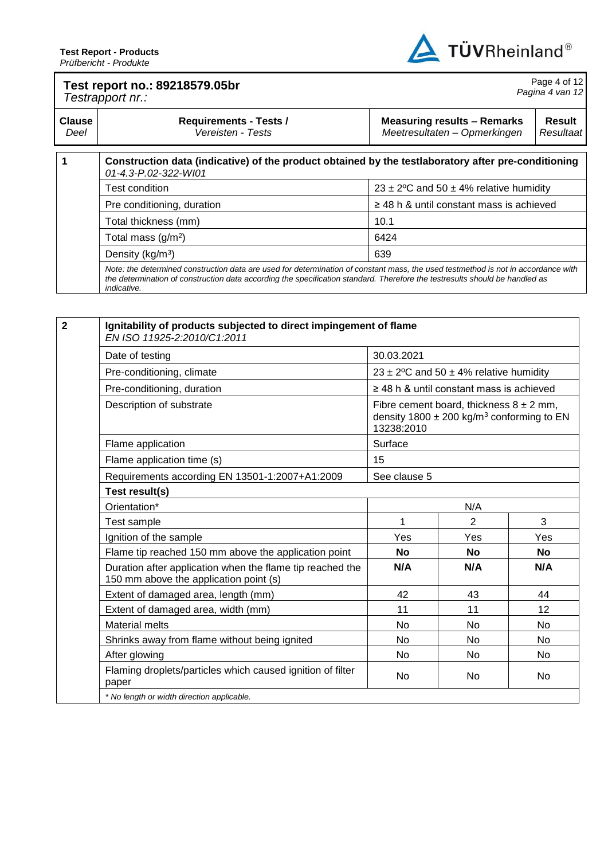

#### **Test report no.: 89218579.05br** *Testrapport nr.:* Page 4 of 12 *Pagina 4 van 12* **Clause Requirements - Tests / Measuring results – Remarks Result**

| Deel | Vereisten - Tests                                                                                                                                                                                                                                                                      | Meetresultaten - Opmerkingen<br>Resultaat           |
|------|----------------------------------------------------------------------------------------------------------------------------------------------------------------------------------------------------------------------------------------------------------------------------------------|-----------------------------------------------------|
|      | Construction data (indicative) of the product obtained by the testlaboratory after pre-conditioning<br>01-4.3-P.02-322-WI01                                                                                                                                                            |                                                     |
|      | <b>Test condition</b>                                                                                                                                                                                                                                                                  | 23 ± 2 <sup>o</sup> C and 50 ± 4% relative humidity |
|      | Pre conditioning, duration                                                                                                                                                                                                                                                             | $\geq$ 48 h & until constant mass is achieved       |
|      | Total thickness (mm)                                                                                                                                                                                                                                                                   | 10.1                                                |
|      | Total mass $(g/m2)$                                                                                                                                                                                                                                                                    | 6424                                                |
|      | Density ( $kg/m3$ )                                                                                                                                                                                                                                                                    | 639                                                 |
|      | Note: the determined construction data are used for determination of constant mass, the used testmethod is not in accordance with<br>the determination of construction data according the specification standard. Therefore the testresults should be handled as<br><i>indicative.</i> |                                                     |

| EN ISO 11925-2:2010/C1:2011<br>Date of testing                                                      | 30.03.2021     |                                                                                                          |           |
|-----------------------------------------------------------------------------------------------------|----------------|----------------------------------------------------------------------------------------------------------|-----------|
|                                                                                                     |                |                                                                                                          |           |
| Pre-conditioning, climate                                                                           |                | 23 ± 2°C and 50 ± 4% relative humidity                                                                   |           |
| Pre-conditioning, duration                                                                          |                | $\geq$ 48 h & until constant mass is achieved                                                            |           |
| Description of substrate                                                                            | 13238:2010     | Fibre cement board, thickness $8 \pm 2$ mm,<br>density 1800 $\pm$ 200 kg/m <sup>3</sup> conforming to EN |           |
| Flame application                                                                                   | Surface        |                                                                                                          |           |
| Flame application time (s)                                                                          | 15             |                                                                                                          |           |
| Requirements according EN 13501-1:2007+A1:2009                                                      | See clause 5   |                                                                                                          |           |
| Test result(s)                                                                                      |                |                                                                                                          |           |
| Orientation*                                                                                        |                | N/A                                                                                                      |           |
| Test sample                                                                                         | 1              | $\overline{2}$                                                                                           | 3         |
| Ignition of the sample                                                                              | Yes            | Yes                                                                                                      | Yes       |
| Flame tip reached 150 mm above the application point                                                | <b>No</b>      | <b>No</b>                                                                                                | <b>No</b> |
| Duration after application when the flame tip reached the<br>150 mm above the application point (s) | N/A            | N/A                                                                                                      | N/A       |
| Extent of damaged area, length (mm)                                                                 | 42             | 43                                                                                                       | 44        |
| Extent of damaged area, width (mm)                                                                  | 11             | 11                                                                                                       | 12        |
| <b>Material melts</b>                                                                               | N <sub>o</sub> | <b>No</b>                                                                                                | No.       |
| Shrinks away from flame without being ignited                                                       | N <sub>o</sub> | <b>No</b>                                                                                                | No.       |
| After glowing                                                                                       | <b>No</b>      | <b>No</b>                                                                                                | No.       |
| Flaming droplets/particles which caused ignition of filter<br>paper                                 | No             | No.                                                                                                      | No.       |
| * No length or width direction applicable.                                                          |                |                                                                                                          |           |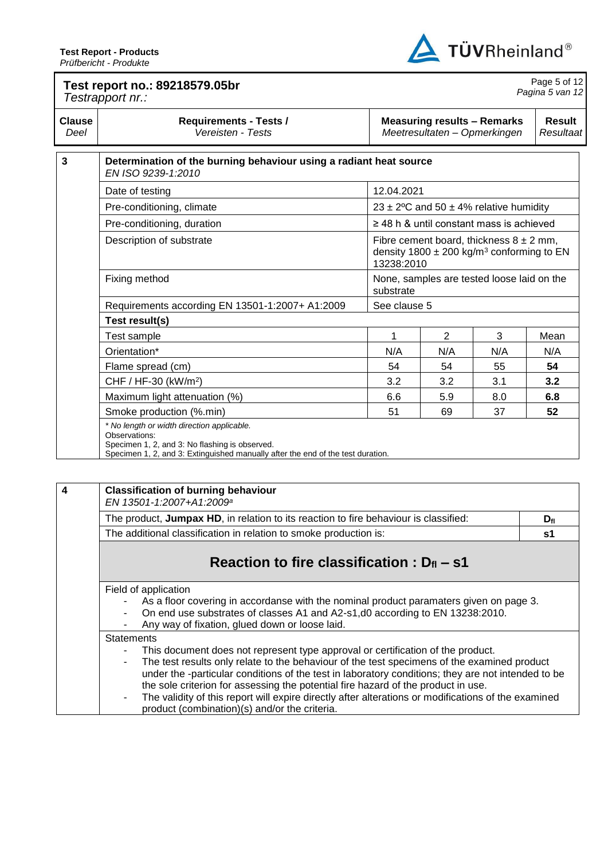ľ



| Test report no.: 89218579.05br<br>Testrapport nr.: |                                                                                                                                                                                                  |              |                |                                                                                                          | Page 5 of 12<br>Pagina 5 van 12 |
|----------------------------------------------------|--------------------------------------------------------------------------------------------------------------------------------------------------------------------------------------------------|--------------|----------------|----------------------------------------------------------------------------------------------------------|---------------------------------|
| <b>Clause</b><br>Deel                              | <b>Requirements - Tests /</b><br>Vereisten - Tests                                                                                                                                               |              |                | <b>Measuring results - Remarks</b><br>Meetresultaten - Opmerkingen                                       | Result<br>Resultaat             |
| $\mathbf{3}$                                       | Determination of the burning behaviour using a radiant heat source<br>EN ISO 9239-1:2010                                                                                                         |              |                |                                                                                                          |                                 |
|                                                    | Date of testing                                                                                                                                                                                  | 12.04.2021   |                |                                                                                                          |                                 |
|                                                    | Pre-conditioning, climate                                                                                                                                                                        |              |                | 23 ± 2°C and 50 ± 4% relative humidity                                                                   |                                 |
|                                                    | $\geq$ 48 h & until constant mass is achieved<br>Pre-conditioning, duration                                                                                                                      |              |                |                                                                                                          |                                 |
|                                                    | Description of substrate                                                                                                                                                                         | 13238:2010   |                | Fibre cement board, thickness $8 \pm 2$ mm,<br>density $1800 \pm 200$ kg/m <sup>3</sup> conforming to EN |                                 |
|                                                    | Fixing method                                                                                                                                                                                    | substrate    |                | None, samples are tested loose laid on the                                                               |                                 |
|                                                    | Requirements according EN 13501-1:2007+ A1:2009                                                                                                                                                  | See clause 5 |                |                                                                                                          |                                 |
|                                                    | Test result(s)                                                                                                                                                                                   |              |                |                                                                                                          |                                 |
|                                                    | Test sample                                                                                                                                                                                      | 1            | $\overline{2}$ | 3                                                                                                        | Mean                            |
|                                                    | Orientation*                                                                                                                                                                                     | N/A          | N/A            | N/A                                                                                                      | N/A                             |
|                                                    | Flame spread (cm)                                                                                                                                                                                | 54           | 54             | 55                                                                                                       | 54                              |
|                                                    | CHF / HF-30 (kW/m <sup>2</sup> )                                                                                                                                                                 | 3.2          | 3.2            | 3.1                                                                                                      | 3.2                             |
|                                                    | Maximum light attenuation (%)                                                                                                                                                                    | 6.6          | 5.9            | 8.0                                                                                                      | 6.8                             |
|                                                    | Smoke production (%.min)                                                                                                                                                                         | 51           | 69             | 37                                                                                                       | 52                              |
|                                                    | * No length or width direction applicable.<br>Observations:<br>Specimen 1, 2, and 3: No flashing is observed.<br>Specimen 1, 2, and 3: Extinguished manually after the end of the test duration. |              |                |                                                                                                          |                                 |

| <b>Classification of burning behaviour</b><br>EN 13501-1:2007+A1:2009 <sup>a</sup>                                                                                                                                                                                                                                                                                                                                                                                                                                                                     |    |  |  |  |  |
|--------------------------------------------------------------------------------------------------------------------------------------------------------------------------------------------------------------------------------------------------------------------------------------------------------------------------------------------------------------------------------------------------------------------------------------------------------------------------------------------------------------------------------------------------------|----|--|--|--|--|
| The product, Jumpax HD, in relation to its reaction to fire behaviour is classified:<br>$D_{\rm fl}$                                                                                                                                                                                                                                                                                                                                                                                                                                                   |    |  |  |  |  |
| The additional classification in relation to smoke production is:                                                                                                                                                                                                                                                                                                                                                                                                                                                                                      | s1 |  |  |  |  |
| Reaction to fire classification : $D_{fl}$ – s1                                                                                                                                                                                                                                                                                                                                                                                                                                                                                                        |    |  |  |  |  |
| Field of application<br>As a floor covering in accordanse with the nominal product paramaters given on page 3.<br>On end use substrates of classes A1 and A2-s1,d0 according to EN 13238:2010.<br>Any way of fixation, glued down or loose laid.                                                                                                                                                                                                                                                                                                       |    |  |  |  |  |
| <b>Statements</b><br>This document does not represent type approval or certification of the product.<br>The test results only relate to the behaviour of the test specimens of the examined product<br>under the -particular conditions of the test in laboratory conditions; they are not intended to be<br>the sole criterion for assessing the potential fire hazard of the product in use.<br>The validity of this report will expire directly after alterations or modifications of the examined<br>product (combination)(s) and/or the criteria. |    |  |  |  |  |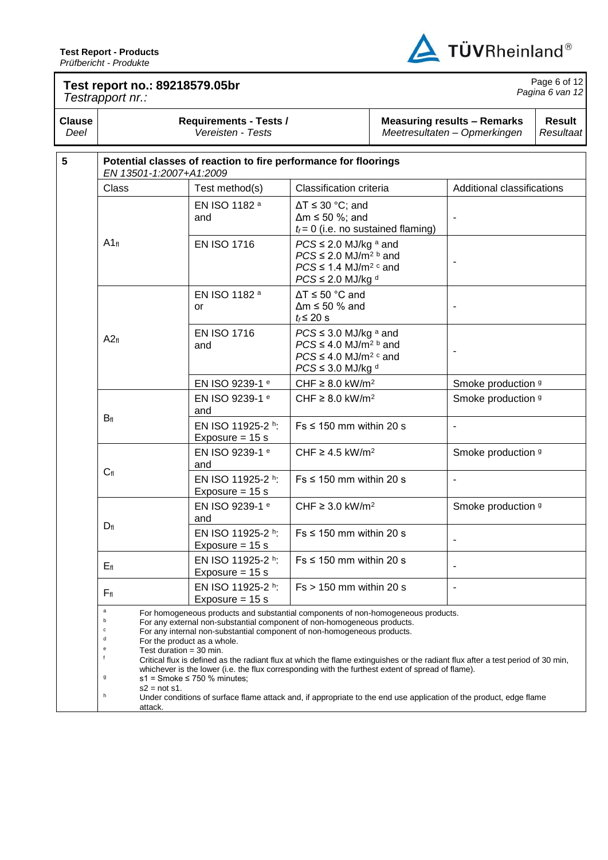

# **Test report no.: 89218579.05br** *Testrapport nr.:*

Page 6 of 12 *Pagina 6 van 12*

| <b>Clause</b><br>Deel |                                                                                                           | <b>Requirements - Tests /</b><br>Vereisten - Tests                                                                                                                                                                                                                                                                                                                                                                                                                                                                                                                                                                                                                        |                                                                                                                                                     | <b>Measuring results - Remarks</b><br>Meetresultaten - Opmerkingen | <b>Result</b><br>Resultaat |  |
|-----------------------|-----------------------------------------------------------------------------------------------------------|---------------------------------------------------------------------------------------------------------------------------------------------------------------------------------------------------------------------------------------------------------------------------------------------------------------------------------------------------------------------------------------------------------------------------------------------------------------------------------------------------------------------------------------------------------------------------------------------------------------------------------------------------------------------------|-----------------------------------------------------------------------------------------------------------------------------------------------------|--------------------------------------------------------------------|----------------------------|--|
| $5\phantom{.0}$       | EN 13501-1:2007+A1:2009                                                                                   | Potential classes of reaction to fire performance for floorings                                                                                                                                                                                                                                                                                                                                                                                                                                                                                                                                                                                                           |                                                                                                                                                     |                                                                    |                            |  |
|                       | Class                                                                                                     | Test method(s)                                                                                                                                                                                                                                                                                                                                                                                                                                                                                                                                                                                                                                                            | Classification criteria                                                                                                                             |                                                                    | Additional classifications |  |
|                       |                                                                                                           | EN ISO 1182 <sup>a</sup><br>and                                                                                                                                                                                                                                                                                                                                                                                                                                                                                                                                                                                                                                           | $\Delta T \leq 30$ °C; and<br>$\Delta m \le 50$ %; and<br>$t_f = 0$ (i.e. no sustained flaming)                                                     |                                                                    |                            |  |
|                       | $A1_{fl}$                                                                                                 | <b>EN ISO 1716</b>                                                                                                                                                                                                                                                                                                                                                                                                                                                                                                                                                                                                                                                        | $PCS \leq 2.0$ MJ/kg a and<br>$PCS \leq 2.0$ MJ/m <sup>2 b</sup> and<br>$PCS \leq 1.4$ MJ/m <sup>2</sup> c and<br>$PCS \leq 2.0$ MJ/kg <sup>d</sup> |                                                                    | $\overline{a}$             |  |
|                       |                                                                                                           | EN ISO 1182 <sup>a</sup><br>or                                                                                                                                                                                                                                                                                                                                                                                                                                                                                                                                                                                                                                            | $\Delta T \le 50$ °C and<br>$\Delta m \le 50$ % and<br>$t_f \leq 20$ s                                                                              |                                                                    |                            |  |
|                       | <b>EN ISO 1716</b><br>A2f1<br>and                                                                         |                                                                                                                                                                                                                                                                                                                                                                                                                                                                                                                                                                                                                                                                           | $PCS \leq 3.0$ MJ/kg a and<br>$PCS \leq 4.0$ MJ/m <sup>2</sup> b and<br>$PCS \leq 4.0$ MJ/m <sup>2 c</sup> and<br>$PCS \leq 3.0$ MJ/kg d            |                                                                    |                            |  |
|                       | CHF $\geq$ 8.0 kW/m <sup>2</sup><br>EN ISO 9239-1 e                                                       |                                                                                                                                                                                                                                                                                                                                                                                                                                                                                                                                                                                                                                                                           |                                                                                                                                                     | Smoke production 9                                                 |                            |  |
|                       | EN ISO 9239-1 e<br>and                                                                                    |                                                                                                                                                                                                                                                                                                                                                                                                                                                                                                                                                                                                                                                                           | CHF $\geq$ 8.0 kW/m <sup>2</sup>                                                                                                                    |                                                                    | Smoke production 9         |  |
|                       | $B_{fl}$<br>EN ISO 11925-2 h:<br>Exposure = $15 s$                                                        |                                                                                                                                                                                                                                                                                                                                                                                                                                                                                                                                                                                                                                                                           |                                                                                                                                                     | $Fs \leq 150$ mm within 20 s<br>$\overline{a}$                     |                            |  |
|                       |                                                                                                           | EN ISO 9239-1 e<br>and                                                                                                                                                                                                                                                                                                                                                                                                                                                                                                                                                                                                                                                    | CHF $\geq$ 4.5 kW/m <sup>2</sup>                                                                                                                    |                                                                    | Smoke production 9         |  |
|                       | $C_{fl}$                                                                                                  | EN ISO 11925-2 h:<br>Exposure = $15 s$                                                                                                                                                                                                                                                                                                                                                                                                                                                                                                                                                                                                                                    | $Fs \leq 150$ mm within 20 s                                                                                                                        |                                                                    | $\blacksquare$             |  |
|                       |                                                                                                           | EN ISO 9239-1 e<br>and                                                                                                                                                                                                                                                                                                                                                                                                                                                                                                                                                                                                                                                    | CHF $\geq$ 3.0 kW/m <sup>2</sup>                                                                                                                    |                                                                    | Smoke production 9         |  |
|                       | $D_{fl}$                                                                                                  | EN ISO 11925-2 h:<br>Exposure = $15 s$                                                                                                                                                                                                                                                                                                                                                                                                                                                                                                                                                                                                                                    | $Fs \leq 150$ mm within 20 s                                                                                                                        |                                                                    |                            |  |
|                       | Еfl                                                                                                       | EN ISO 11925-2 h:<br>Exposure = $15 s$                                                                                                                                                                                                                                                                                                                                                                                                                                                                                                                                                                                                                                    | $Fs \leq 150$ mm within 20 s                                                                                                                        |                                                                    |                            |  |
|                       | $F_{fl}$                                                                                                  | EN ISO 11925-2 h:<br>Exposure $= 15$ s                                                                                                                                                                                                                                                                                                                                                                                                                                                                                                                                                                                                                                    | $Fs > 150$ mm within 20 s                                                                                                                           |                                                                    |                            |  |
|                       | $\mathsf a$<br>b<br>с<br>d<br>e<br>Test duration $=$ 30 min.<br>Ť<br>g<br>$s2 = not s1$ .<br>h<br>attack. | For homogeneous products and substantial components of non-homogeneous products.<br>For any external non-substantial component of non-homogeneous products.<br>For any internal non-substantial component of non-homogeneous products.<br>For the product as a whole.<br>Critical flux is defined as the radiant flux at which the flame extinguishes or the radiant flux after a test period of 30 min,<br>whichever is the lower (i.e. the flux corresponding with the furthest extent of spread of flame).<br>$s1 =$ Smoke $\leq 750$ % minutes;<br>Under conditions of surface flame attack and, if appropriate to the end use application of the product, edge flame |                                                                                                                                                     |                                                                    |                            |  |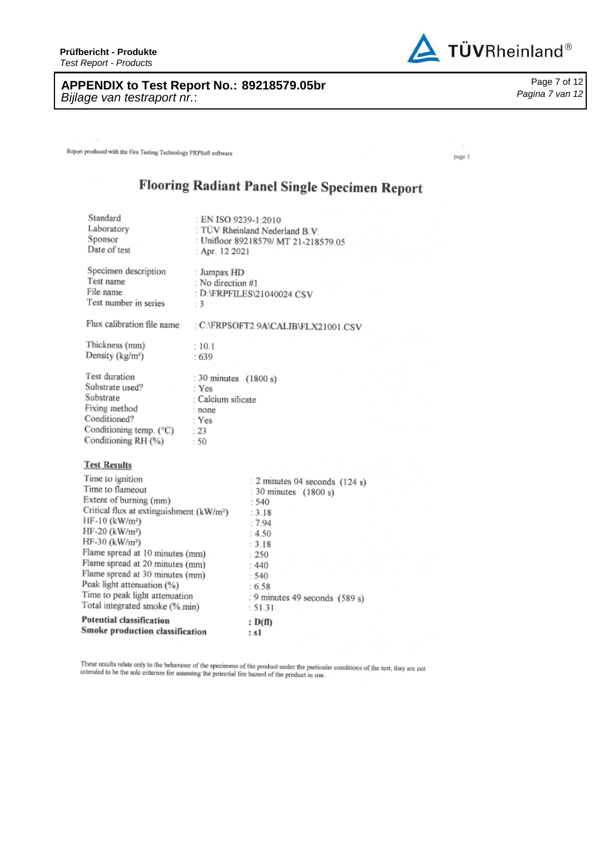**Prüfbericht - Produkte** *Test Report - Products*

**APPENDIX to Test Report No. : 89218579.05br** Page *Bijlage van testraport nr.* :

Report produced with the Fire Testing Technology FRPSoft software

# Flooring Radiant Panel Single Specimen Report

| Standard<br>Laboratory<br>Sponsor<br>Date of test                                                                                                                                                                                                                                                                                                                                                                           | EN ISO 9239-1:2010<br>Apr. 12 2021                                                      | TÜV Rheinland Nederland B.V.<br>: Unifloor 89218579/ MT 21-218579.05                                                                                                                 |
|-----------------------------------------------------------------------------------------------------------------------------------------------------------------------------------------------------------------------------------------------------------------------------------------------------------------------------------------------------------------------------------------------------------------------------|-----------------------------------------------------------------------------------------|--------------------------------------------------------------------------------------------------------------------------------------------------------------------------------------|
| Specimen description<br>Test name<br>File name<br>Test number in series                                                                                                                                                                                                                                                                                                                                                     | : Jumpax HD<br>: No direction #1<br>$\cdot$ 3                                           | : D:\FRPFILES\21040024.CSV                                                                                                                                                           |
| Flux calibration file name                                                                                                                                                                                                                                                                                                                                                                                                  |                                                                                         | : C:\FRPSOFT2.9A\CALIB\FLX21001.CSV                                                                                                                                                  |
| Thickness (mm)<br>Density (kg/m <sup>3</sup> )                                                                                                                                                                                                                                                                                                                                                                              | :10.1<br>.639                                                                           |                                                                                                                                                                                      |
| Test duration<br>Substrate used?<br>Substrate<br>Fixing method<br>Conditioned?<br>Conditioning temp. (°C)<br>Conditioning RH (%)                                                                                                                                                                                                                                                                                            | : 30 minutes (1800 s)<br>: Yes<br>: Calcium silicate<br>: none<br>: Yes<br>: 23<br>: 50 |                                                                                                                                                                                      |
| <b>Test Results</b>                                                                                                                                                                                                                                                                                                                                                                                                         |                                                                                         |                                                                                                                                                                                      |
| Time to ignition<br>Time to flameout<br>Extent of burning (mm)<br>Critical flux at extinguishment (kW/m <sup>2</sup> )<br>HF-10 (kW/m <sup>2</sup> )<br>HF-20 (kW/m <sup>2</sup> )<br>HF-30 (kW/m <sup>2</sup> )<br>Flame spread at 10 minutes (mm)<br>Flame spread at 20 minutes (mm)<br>Flame spread at 30 minutes (mm)<br>Peak light attenuation (%)<br>Time to peak light attenuation<br>Total integrated smoke (%.min) |                                                                                         | 2 minutes 04 seconds (124 s)<br>: 30 minutes (1800 s)<br>: 540<br>: 3.18<br>:7.94<br>: 4.50<br>13.18<br>: 250<br>1440<br>: 540<br>:6.58<br>: 9 minutes 49 seconds (589 s)<br>: 51.31 |
| Potential classification<br>Smoke production classification                                                                                                                                                                                                                                                                                                                                                                 |                                                                                         | : D(f)<br>: s1                                                                                                                                                                       |

These results relate only to the behaviour of the specimens of the product under the particular conditions of the test, they are not intended to be the sole criterion for assessing the potential fire hazard of the product



Page 7 of 12 *Pagina 7 van 12*

page 1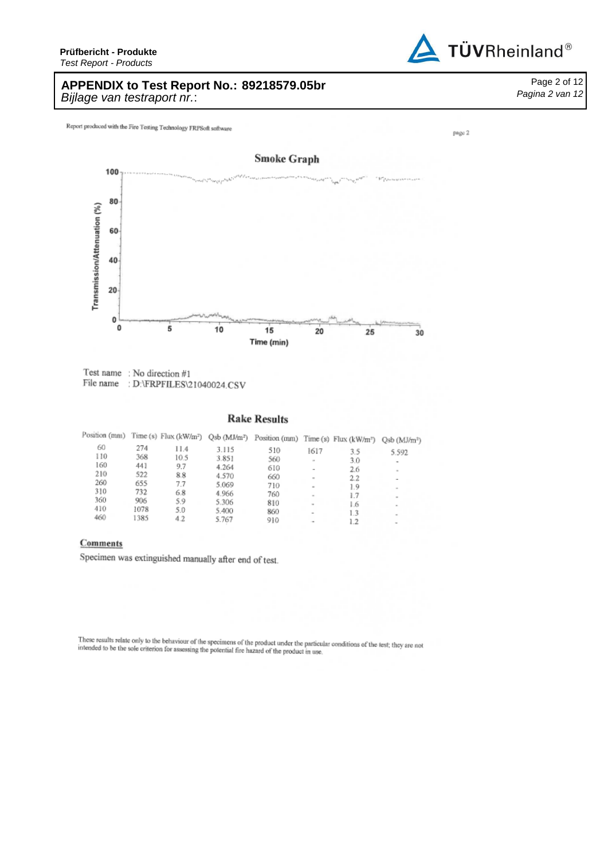# **APPENDIX to Test Report No.: 89218579.05br** Page *Bijlage van testraport nr.* :

Report produced with the Fire Testing Technology FRPSoft software



Test name: No direction #1<br>File name: D:\FRPFILES\21040024.CSV

### **Rake Results**

| Position (mm) |            |            |                | Time (s) Flux (kW/m <sup>2</sup> ) Qsb (MJ/m <sup>2</sup> ) Position (mm) Time (s) Flux (kW/m <sup>2</sup> ) |                          |            | $Qsb$ ( $MJ/m^2$ ) |
|---------------|------------|------------|----------------|--------------------------------------------------------------------------------------------------------------|--------------------------|------------|--------------------|
| 60            | 274        | 11.4       | 3.115          | 510                                                                                                          | 1617                     | 3.5        | 5.592              |
| 110           | 368        | 10.5       | 3.851          | 560                                                                                                          | $\sim$                   | 3.0        | ۰                  |
| 160<br>210    | 441<br>522 | 9.7        | 4.264          | 610                                                                                                          | $\sim$                   | 2.6        | $\sim$             |
| 260           | 655        | 8.8<br>7.7 | 4.570          | 660                                                                                                          | $\sim$                   | 2.2        | $\sim$             |
| 310           | 732        | 6.8        | 5.069<br>4.966 | 710<br>760                                                                                                   | $\sim$                   | 1.9        |                    |
| 360           | 906        | 5.9        | 5.306          | 810                                                                                                          | $\overline{u}$           | 1.7<br>1.6 | $\sim$             |
| 410           | 1078       | 5.0        | 5.400          | 860                                                                                                          | $\overline{\phantom{a}}$ | 1.3        | $\sim$<br>$\sim$   |
| 460           | 1385       | 4.2        | 5.767          | 910                                                                                                          |                          | 1.2        |                    |

#### Comments

Specimen was extinguished manually after end of test.

These results relate only to the behaviour of the specimens of the product under the particular conditions of the test; they are not intended to be the sole criterion for assessing the potential fire hazard of the product intended to be the sole criterion for assessing the potential fire hazard of the product in use.



Page 2 of 12 *Pagina 2 van 12*

page 2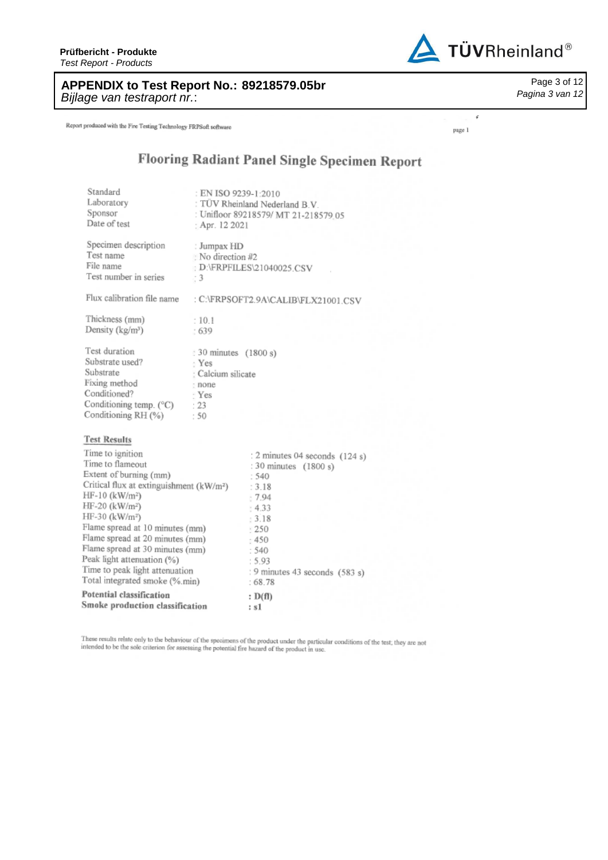**Prüfbericht - Produkte** *Test Report - Products*



**APPENDIX to Test Report No.: 89218579.05br** Page *Bijlage van testraport nr.* :

Report produced with the Fire Testing Technology FRPSoft software

*Pagina 3 van 12*

Page 3 of 12

page 1

.

# Flooring Radiant Panel Single Specimen Report

| Standard<br>Laboratory<br>Sponsor                    | : EN ISO 9239-1:2010            | : TÜV Rheinland Nederland B.V.<br>: Unifloor 89218579/ MT 21-218579.05 |  |  |  |
|------------------------------------------------------|---------------------------------|------------------------------------------------------------------------|--|--|--|
| Date of test                                         | : Apr. 12 2021                  |                                                                        |  |  |  |
| Specimen description                                 | : Jumpax HD                     |                                                                        |  |  |  |
| Test name                                            | : No direction #2               |                                                                        |  |  |  |
| File name<br>Test number in series                   | D:\FRPFILES\21040025.CSV<br>( 3 |                                                                        |  |  |  |
| Flux calibration file name                           |                                 | : C:\FRPSOFT2.9A\CALIB\FLX21001.CSV                                    |  |  |  |
| Thickness (mm)                                       | :10.1                           |                                                                        |  |  |  |
| Density (kg/m <sup>3</sup> )                         | :639                            |                                                                        |  |  |  |
| Test duration                                        | : 30 minutes (1800 s)           |                                                                        |  |  |  |
| Substrate used?                                      | : Yes                           |                                                                        |  |  |  |
| Substrate                                            | : Calcium silicate              |                                                                        |  |  |  |
| Fixing method                                        | : none                          |                                                                        |  |  |  |
| Conditioned?                                         | - Yes                           |                                                                        |  |  |  |
| Conditioning temp. (°C)                              | : 23                            |                                                                        |  |  |  |
| Conditioning RH (%)                                  | :50                             |                                                                        |  |  |  |
| <b>Test Results</b>                                  |                                 |                                                                        |  |  |  |
| Time to ignition                                     |                                 | : 2 minutes 04 seconds (124 s)                                         |  |  |  |
| Time to flameout                                     |                                 | : 30 minutes (1800 s)                                                  |  |  |  |
| Extent of burning (mm)                               |                                 | : 540                                                                  |  |  |  |
| Critical flux at extinguishment (kW/m <sup>2</sup> ) |                                 | : 3.18                                                                 |  |  |  |
| HF-10 (kW/m <sup>2</sup> )                           |                                 | $-7.94$                                                                |  |  |  |
| HF-20 (kW/m <sup>2</sup> )                           |                                 | : 4.33                                                                 |  |  |  |
| HF-30 (kW/m <sup>2</sup> )                           |                                 | 13.18                                                                  |  |  |  |
| Flame spread at 10 minutes (mm)                      |                                 | $+250$                                                                 |  |  |  |
| Flame spread at 20 minutes (mm)                      |                                 | :450                                                                   |  |  |  |
| Flame spread at 30 minutes (mm)                      |                                 | : 540                                                                  |  |  |  |
| Peak light attenuation (%)                           |                                 | : 5.93                                                                 |  |  |  |
| Time to peak light attenuation                       |                                 | : 9 minutes 43 seconds (583 s)                                         |  |  |  |
| Total integrated smoke (%.min)                       |                                 | :68.78                                                                 |  |  |  |
| Potential classification                             |                                 | : D(f)                                                                 |  |  |  |
| Smoke production classification                      |                                 | : s1                                                                   |  |  |  |

These results relate only to the behaviour of the specimens of the product under the particular conditions of the test, they are not intended to be the sole criterion for assessing the potential fire hazard of the product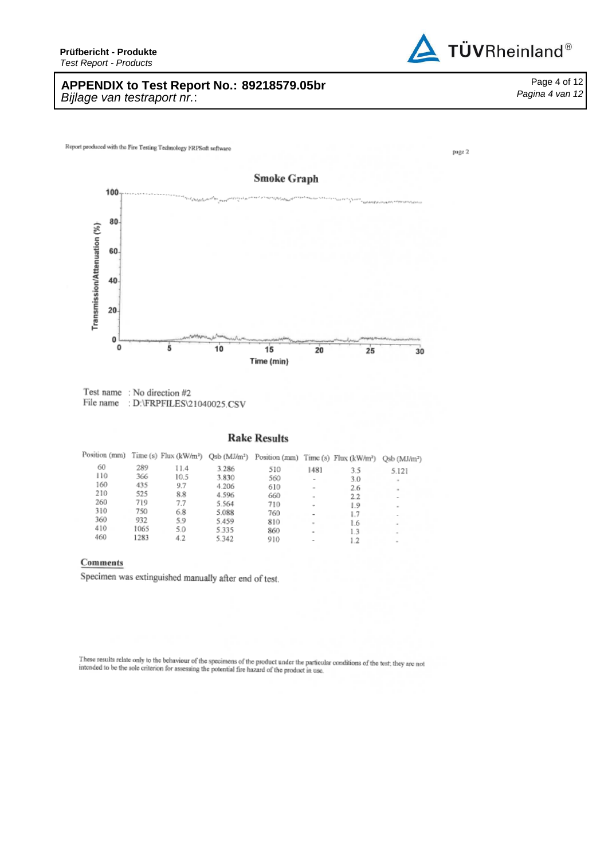# **APPENDIX to Test Report No.: 89218579.05br** Page *Bijlage van testraport nr.* :

Report produced with the Fire Testing Technology FRPSoft software



Test name: No direction #2 File name : D:\FRPFILES\21040025.CSV

### **Rake Results**

|     |      |      |       | Position (mm) Time (s) Flux (kW/m <sup>2</sup> ) Qsb (MJ/m <sup>2</sup> ) Position (mm) Time (s) Flux (kW/m <sup>2</sup> ) |               |     | Qsb (MJ/m <sup>2</sup> ) |
|-----|------|------|-------|----------------------------------------------------------------------------------------------------------------------------|---------------|-----|--------------------------|
| 60  | 289  | 11.4 | 3.286 | 510                                                                                                                        | 1481          | 3.5 | 5.121                    |
| 110 | 366  | 10.5 | 3.830 | 560                                                                                                                        |               | 3.0 |                          |
| 160 | 435  | 9.7  | 4.206 | 610                                                                                                                        | $\sim$        | 2.6 |                          |
| 210 | 525  | 8.8  | 4.596 | 660                                                                                                                        |               | 22  |                          |
| 260 | 719  | 7.7  | 5.564 | 710                                                                                                                        | $\rightarrow$ | 1.9 |                          |
| 310 | 750  | 6.8  | 5.088 | 760                                                                                                                        |               | 1.7 |                          |
| 360 | 932  | 5.9  | 5.459 | 810                                                                                                                        | ۰             | 1.6 |                          |
| 410 | 1065 | 5.0  | 5.335 | 860                                                                                                                        | ٠             | 13  |                          |
| 460 | 1283 | 4.2  | 5.342 | 910                                                                                                                        |               |     |                          |

#### Comments

Specimen was extinguished manually after end of test.

These results relate only to the behaviour of the specimens of the product under the particular conditions of the test, they are not intended to be the sole criterion for assessing the potential fire hazard of the product



page 2

Page 4 of 12

*Pagina 4 van 12*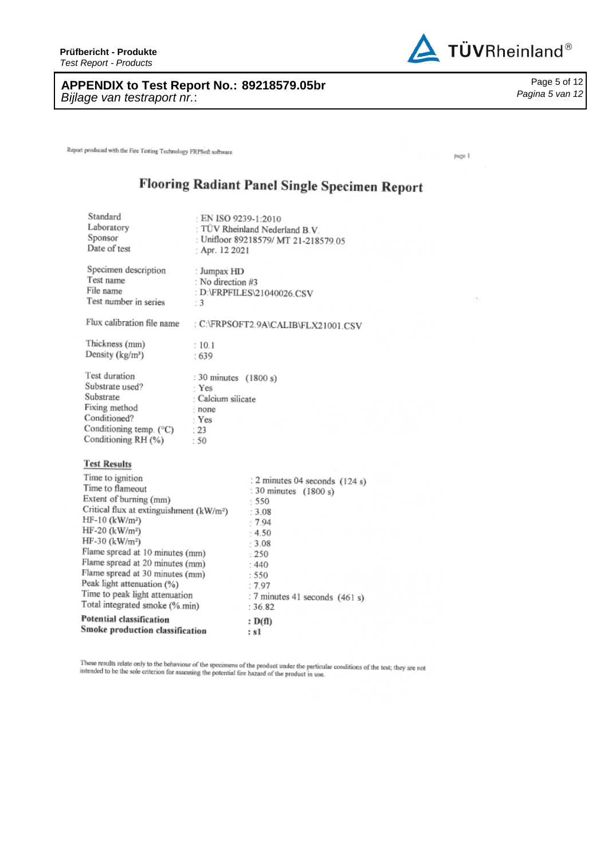# **APPENDIX to Test Report No. : 89218579.05br** Page *Bijlage van testraport nr.* :

Report produced with the Fire Testing Technology FRPSoft software

# Flooring Radiant Panel Single Specimen Report

| Standard<br>Laboratory<br>Sponsor<br>Date of test                                                                                                                                                                                                                                                                                                                                                                               | EN ISO 9239-1:2010<br>TÜV Rheinland Nederland B.V.<br>: Unifloor 89218579/ MT 21-218579.05<br>: Apr. 12 2021 |                                                                                                                                                                                           |  |  |  |
|---------------------------------------------------------------------------------------------------------------------------------------------------------------------------------------------------------------------------------------------------------------------------------------------------------------------------------------------------------------------------------------------------------------------------------|--------------------------------------------------------------------------------------------------------------|-------------------------------------------------------------------------------------------------------------------------------------------------------------------------------------------|--|--|--|
| Specimen description<br>Test name<br>File name<br>Test number in series                                                                                                                                                                                                                                                                                                                                                         | : Jumpax HD<br>: No direction #3<br>$\cdot$ 3                                                                | : D:\FRPFILES\21040026 CSV                                                                                                                                                                |  |  |  |
| Flux calibration file name                                                                                                                                                                                                                                                                                                                                                                                                      |                                                                                                              | : C:\FRPSOFT2.9A\CALIB\FLX21001.CSV                                                                                                                                                       |  |  |  |
| Thickness (mm)<br>Density (kg/m <sup>3</sup> )                                                                                                                                                                                                                                                                                                                                                                                  | : 10.1<br>:639                                                                                               |                                                                                                                                                                                           |  |  |  |
| Test duration<br>Substrate used?<br>Substrate<br>Fixing method<br>Conditioned?<br>Conditioning temp. $(^{\circ}C)$<br>Conditioning RH (%)                                                                                                                                                                                                                                                                                       | : 30 minutes (1800 s)<br>· Yes<br>: Calcium silicate<br>: none<br>: Yes<br>: 23<br>.50                       |                                                                                                                                                                                           |  |  |  |
| <b>Test Results</b>                                                                                                                                                                                                                                                                                                                                                                                                             |                                                                                                              |                                                                                                                                                                                           |  |  |  |
| Time to ignition<br>Time to flameout<br>Extent of burning (mm)<br>Critical flux at extinguishment (kW/m <sup>2</sup> )<br>$HF-10$ (kW/m <sup>2</sup> )<br>$HF-20$ (kW/m <sup>2</sup> )<br>HF-30 (kW/m <sup>2</sup> )<br>Flame spread at 10 minutes (mm)<br>Flame spread at 20 minutes (mm)<br>Flame spread at 30 minutes (mm)<br>Peak light attenuation (%)<br>Time to peak light attenuation<br>Total integrated smoke (%.min) |                                                                                                              | : 2 minutes 04 seconds (124 s)<br>: 30 minutes (1800 s)<br>$-550$<br>: 3.08<br>$-7.94$<br>$-4.50$<br>3.08<br>: 250<br>:440<br>: 550<br>:7.97<br>: 7 minutes 41 seconds (461 s)<br>: 36.82 |  |  |  |
| Potential classification<br>Smoke production classification                                                                                                                                                                                                                                                                                                                                                                     |                                                                                                              | : D(f)<br>: s1                                                                                                                                                                            |  |  |  |
|                                                                                                                                                                                                                                                                                                                                                                                                                                 |                                                                                                              |                                                                                                                                                                                           |  |  |  |

These results relate only to the behaviour of the specimens of the product under the particular conditions of the test; they are not intended to be the sole criterion for assessing the potential fire hazard of the product



page 1

Page 5 of 12 *Pagina 5 van 12*